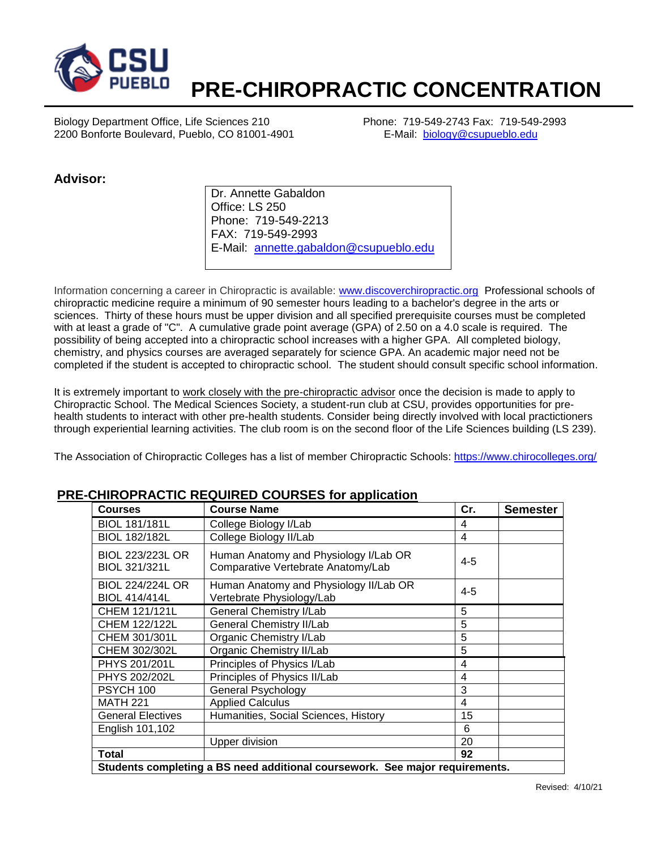

## **PRE-CHIROPRACTIC CONCENTRATION**

Biology Department Office, Life Sciences 210 Phone: 719-549-2743 Fax: 719-549-2993 2200 Bonforte Boulevard, Pueblo, CO 81001-4901 E-Mail: [biology@csupueblo.edu](mailto:biology@csupueblo.edu)

## **Advisor:**

Dr. Annette Gabaldon Office: LS 250 Phone: 719-549-2213 FAX: 719-549-2993 E-Mail: [annette.gabaldon@csupueblo.edu](mailto:annette.gabaldon@csupueblo.edu)

Information concerning a career in Chiropractic is available: [www.discoverchiropractic.org](http://www.discoverchiropractic.org/) Professional schools of chiropractic medicine require a minimum of 90 semester hours leading to a bachelor's degree in the arts or sciences. Thirty of these hours must be upper division and all specified prerequisite courses must be completed with at least a grade of "C". A cumulative grade point average (GPA) of 2.50 on a 4.0 scale is required. The possibility of being accepted into a chiropractic school increases with a higher GPA. All completed biology, chemistry, and physics courses are averaged separately for science GPA. An academic major need not be completed if the student is accepted to chiropractic school. The student should consult specific school information.

It is extremely important to work closely with the pre-chiropractic advisor once the decision is made to apply to Chiropractic School. The Medical Sciences Society, a student-run club at CSU, provides opportunities for prehealth students to interact with other pre-health students. Consider being directly involved with local practictioners through experiential learning activities. The club room is on the second floor of the Life Sciences building (LS 239).

The Association of Chiropractic Colleges has a list of member Chiropractic Schools:<https://www.chirocolleges.org/>

| <b>Courses</b>                                  | <b>Course Name</b>                                                           | Cr.     | <b>Semester</b> |
|-------------------------------------------------|------------------------------------------------------------------------------|---------|-----------------|
| <b>BIOL 181/181L</b>                            | College Biology I/Lab                                                        | 4       |                 |
| <b>BIOL 182/182L</b>                            | College Biology II/Lab                                                       | 4       |                 |
| <b>BIOL 223/223L OR</b><br>BIOL 321/321L        | Human Anatomy and Physiology I/Lab OR<br>Comparative Vertebrate Anatomy/Lab  | $4 - 5$ |                 |
| <b>BIOL 224/224L OR</b><br><b>BIOL 414/414L</b> | Human Anatomy and Physiology II/Lab OR<br>Vertebrate Physiology/Lab          | $4 - 5$ |                 |
| CHEM 121/121L                                   | <b>General Chemistry I/Lab</b>                                               | 5       |                 |
| <b>CHEM 122/122L</b>                            | <b>General Chemistry II/Lab</b>                                              | 5       |                 |
| CHEM 301/301L                                   | Organic Chemistry I/Lab                                                      | 5       |                 |
| CHEM 302/302L                                   | Organic Chemistry II/Lab                                                     | 5       |                 |
| PHYS 201/201L                                   | Principles of Physics I/Lab                                                  | 4       |                 |
| PHYS 202/202L                                   | Principles of Physics II/Lab                                                 | 4       |                 |
| PSYCH 100                                       | General Psychology                                                           | 3       |                 |
| <b>MATH 221</b>                                 | <b>Applied Calculus</b>                                                      | 4       |                 |
| <b>General Electives</b>                        | Humanities, Social Sciences, History                                         | 15      |                 |
| English 101,102                                 |                                                                              | 6       |                 |
|                                                 | <b>Upper division</b>                                                        | 20      |                 |
| <b>Total</b>                                    |                                                                              | 92      |                 |
|                                                 | Students completing a BS need additional coursework. See major requirements. |         |                 |

## **PRE-CHIROPRACTIC REQUIRED COURSES for application**